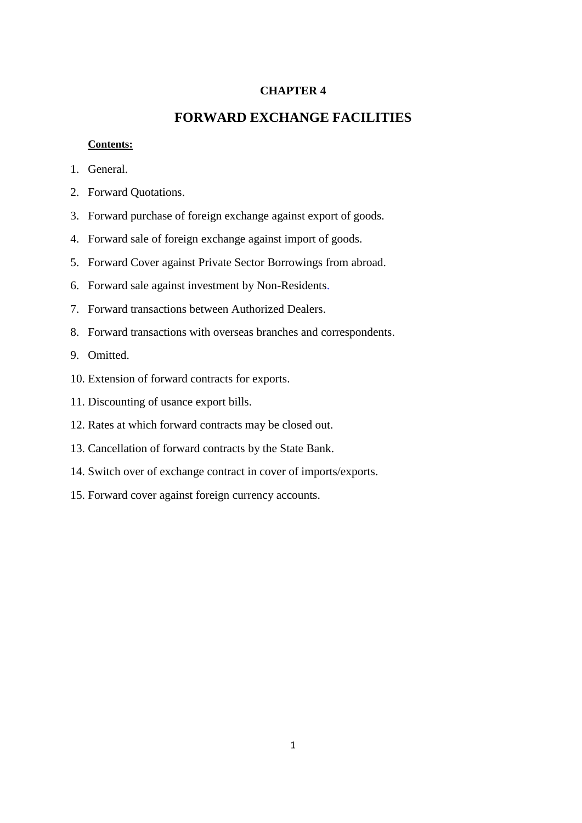#### **CHAPTER 4**

# **FORWARD EXCHANGE FACILITIES**

#### **Contents:**

- 1. General.
- 2. Forward Quotations.
- 3. Forward purchase of foreign exchange against export of goods.
- 4. Forward sale of foreign exchange against import of goods.
- 5. Forward Cover against Private Sector Borrowings from abroad.
- 6. Forward sale against investment by Non-Residents.
- 7. Forward transactions between Authorized Dealers.
- 8. Forward transactions with overseas branches and correspondents.
- 9. Omitted.
- 10. Extension of forward contracts for exports.
- 11. Discounting of usance export bills.
- 12. Rates at which forward contracts may be closed out.
- 13. Cancellation of forward contracts by the State Bank.
- 14. Switch over of exchange contract in cover of imports/exports.
- 15. Forward cover against foreign currency accounts.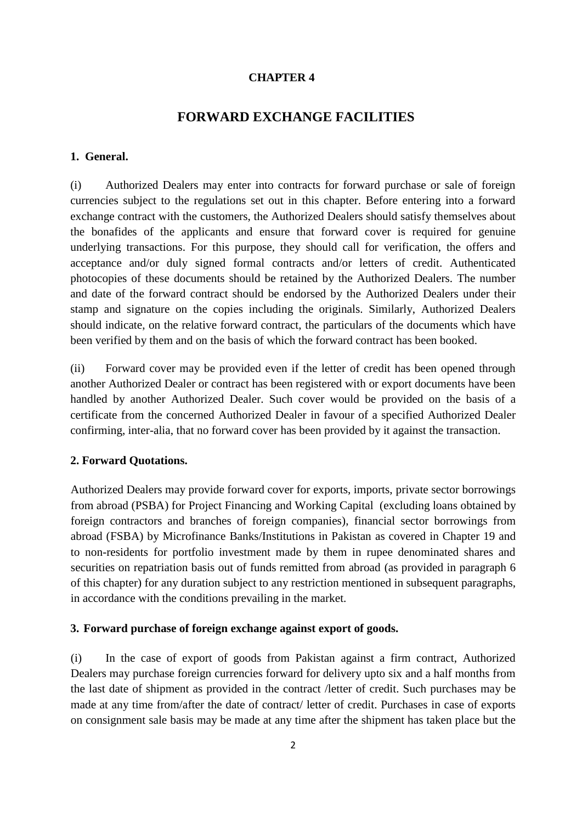#### **CHAPTER 4**

# **FORWARD EXCHANGE FACILITIES**

## **1. General.**

(i) Authorized Dealers may enter into contracts for forward purchase or sale of foreign currencies subject to the regulations set out in this chapter. Before entering into a forward exchange contract with the customers, the Authorized Dealers should satisfy themselves about the bonafides of the applicants and ensure that forward cover is required for genuine underlying transactions. For this purpose, they should call for verification, the offers and acceptance and/or duly signed formal contracts and/or letters of credit. Authenticated photocopies of these documents should be retained by the Authorized Dealers. The number and date of the forward contract should be endorsed by the Authorized Dealers under their stamp and signature on the copies including the originals. Similarly, Authorized Dealers should indicate, on the relative forward contract, the particulars of the documents which have been verified by them and on the basis of which the forward contract has been booked.

(ii) Forward cover may be provided even if the letter of credit has been opened through another Authorized Dealer or contract has been registered with or export documents have been handled by another Authorized Dealer. Such cover would be provided on the basis of a certificate from the concerned Authorized Dealer in favour of a specified Authorized Dealer confirming, inter-alia, that no forward cover has been provided by it against the transaction.

#### **2. Forward Quotations.**

Authorized Dealers may provide forward cover for exports, imports, private sector borrowings from abroad (PSBA) for Project Financing and Working Capital (excluding loans obtained by foreign contractors and branches of foreign companies), financial sector borrowings from abroad (FSBA) by Microfinance Banks/Institutions in Pakistan as covered in Chapter 19 and to non-residents for portfolio investment made by them in rupee denominated shares and securities on repatriation basis out of funds remitted from abroad (as provided in paragraph 6 of this chapter) for any duration subject to any restriction mentioned in subsequent paragraphs, in accordance with the conditions prevailing in the market.

#### **3. Forward purchase of foreign exchange against export of goods.**

(i) In the case of export of goods from Pakistan against a firm contract, Authorized Dealers may purchase foreign currencies forward for delivery upto six and a half months from the last date of shipment as provided in the contract /letter of credit. Such purchases may be made at any time from/after the date of contract/ letter of credit. Purchases in case of exports on consignment sale basis may be made at any time after the shipment has taken place but the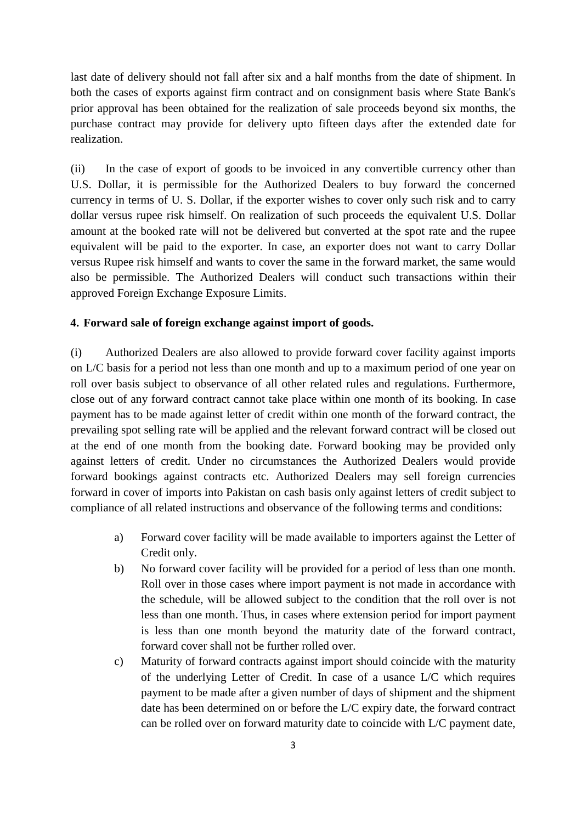last date of delivery should not fall after six and a half months from the date of shipment. In both the cases of exports against firm contract and on consignment basis where State Bank's prior approval has been obtained for the realization of sale proceeds beyond six months, the purchase contract may provide for delivery upto fifteen days after the extended date for realization.

(ii) In the case of export of goods to be invoiced in any convertible currency other than U.S. Dollar, it is permissible for the Authorized Dealers to buy forward the concerned currency in terms of U. S. Dollar, if the exporter wishes to cover only such risk and to carry dollar versus rupee risk himself. On realization of such proceeds the equivalent U.S. Dollar amount at the booked rate will not be delivered but converted at the spot rate and the rupee equivalent will be paid to the exporter. In case, an exporter does not want to carry Dollar versus Rupee risk himself and wants to cover the same in the forward market, the same would also be permissible. The Authorized Dealers will conduct such transactions within their approved Foreign Exchange Exposure Limits.

#### **4. Forward sale of foreign exchange against import of goods.**

(i) Authorized Dealers are also allowed to provide forward cover facility against imports on L/C basis for a period not less than one month and up to a maximum period of one year on roll over basis subject to observance of all other related rules and regulations. Furthermore, close out of any forward contract cannot take place within one month of its booking. In case payment has to be made against letter of credit within one month of the forward contract, the prevailing spot selling rate will be applied and the relevant forward contract will be closed out at the end of one month from the booking date. Forward booking may be provided only against letters of credit. Under no circumstances the Authorized Dealers would provide forward bookings against contracts etc. Authorized Dealers may sell foreign currencies forward in cover of imports into Pakistan on cash basis only against letters of credit subject to compliance of all related instructions and observance of the following terms and conditions:

- a) Forward cover facility will be made available to importers against the Letter of Credit only.
- b) No forward cover facility will be provided for a period of less than one month. Roll over in those cases where import payment is not made in accordance with the schedule, will be allowed subject to the condition that the roll over is not less than one month. Thus, in cases where extension period for import payment is less than one month beyond the maturity date of the forward contract, forward cover shall not be further rolled over.
- c) Maturity of forward contracts against import should coincide with the maturity of the underlying Letter of Credit. In case of a usance L/C which requires payment to be made after a given number of days of shipment and the shipment date has been determined on or before the L/C expiry date, the forward contract can be rolled over on forward maturity date to coincide with L/C payment date,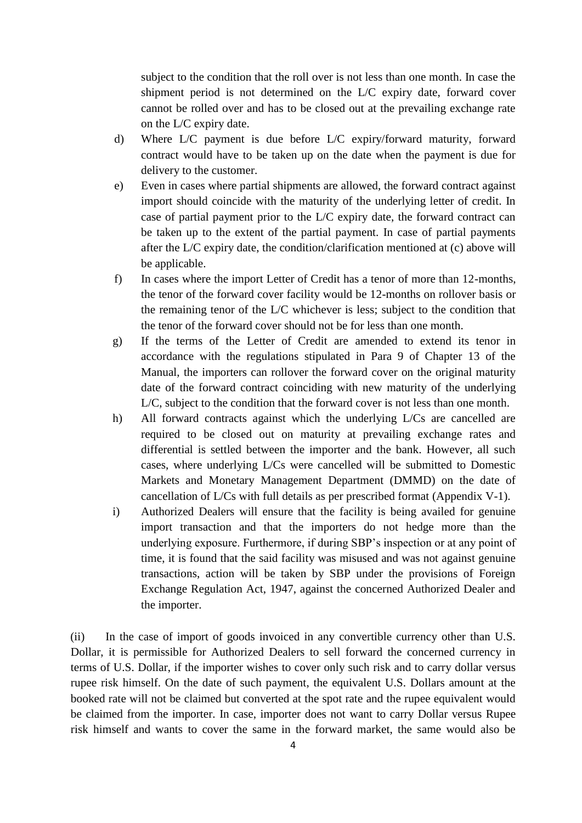subject to the condition that the roll over is not less than one month. In case the shipment period is not determined on the L/C expiry date, forward cover cannot be rolled over and has to be closed out at the prevailing exchange rate on the L/C expiry date.

- d) Where L/C payment is due before L/C expiry/forward maturity, forward contract would have to be taken up on the date when the payment is due for delivery to the customer.
- e) Even in cases where partial shipments are allowed, the forward contract against import should coincide with the maturity of the underlying letter of credit. In case of partial payment prior to the L/C expiry date, the forward contract can be taken up to the extent of the partial payment. In case of partial payments after the L/C expiry date, the condition/clarification mentioned at (c) above will be applicable.
- f) In cases where the import Letter of Credit has a tenor of more than 12-months, the tenor of the forward cover facility would be 12-months on rollover basis or the remaining tenor of the L/C whichever is less; subject to the condition that the tenor of the forward cover should not be for less than one month.
- g) If the terms of the Letter of Credit are amended to extend its tenor in accordance with the regulations stipulated in Para 9 of Chapter 13 of the Manual, the importers can rollover the forward cover on the original maturity date of the forward contract coinciding with new maturity of the underlying L/C, subject to the condition that the forward cover is not less than one month.
- h) All forward contracts against which the underlying L/Cs are cancelled are required to be closed out on maturity at prevailing exchange rates and differential is settled between the importer and the bank. However, all such cases, where underlying L/Cs were cancelled will be submitted to Domestic Markets and Monetary Management Department (DMMD) on the date of cancellation of L/Cs with full details as per prescribed format (Appendix V-1).
- i) Authorized Dealers will ensure that the facility is being availed for genuine import transaction and that the importers do not hedge more than the underlying exposure. Furthermore, if during SBP's inspection or at any point of time, it is found that the said facility was misused and was not against genuine transactions, action will be taken by SBP under the provisions of Foreign Exchange Regulation Act, 1947, against the concerned Authorized Dealer and the importer.

(ii) In the case of import of goods invoiced in any convertible currency other than U.S. Dollar, it is permissible for Authorized Dealers to sell forward the concerned currency in terms of U.S. Dollar, if the importer wishes to cover only such risk and to carry dollar versus rupee risk himself. On the date of such payment, the equivalent U.S. Dollars amount at the booked rate will not be claimed but converted at the spot rate and the rupee equivalent would be claimed from the importer. In case, importer does not want to carry Dollar versus Rupee risk himself and wants to cover the same in the forward market, the same would also be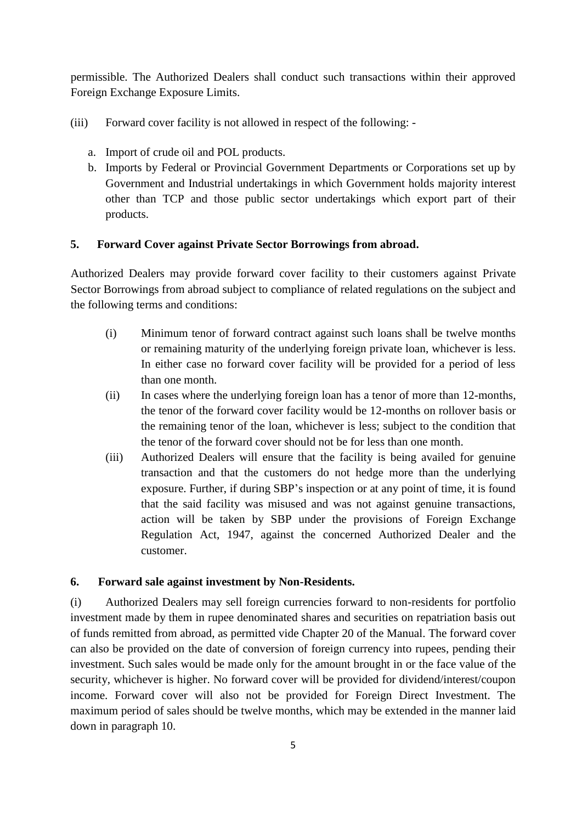permissible. The Authorized Dealers shall conduct such transactions within their approved Foreign Exchange Exposure Limits.

- (iii) Forward cover facility is not allowed in respect of the following:
	- a. Import of crude oil and POL products.
	- b. Imports by Federal or Provincial Government Departments or Corporations set up by Government and Industrial undertakings in which Government holds majority interest other than TCP and those public sector undertakings which export part of their products.

## **5. Forward Cover against Private Sector Borrowings from abroad.**

Authorized Dealers may provide forward cover facility to their customers against Private Sector Borrowings from abroad subject to compliance of related regulations on the subject and the following terms and conditions:

- (i) Minimum tenor of forward contract against such loans shall be twelve months or remaining maturity of the underlying foreign private loan, whichever is less. In either case no forward cover facility will be provided for a period of less than one month.
- (ii) In cases where the underlying foreign loan has a tenor of more than 12-months, the tenor of the forward cover facility would be 12-months on rollover basis or the remaining tenor of the loan, whichever is less; subject to the condition that the tenor of the forward cover should not be for less than one month.
- (iii) Authorized Dealers will ensure that the facility is being availed for genuine transaction and that the customers do not hedge more than the underlying exposure. Further, if during SBP's inspection or at any point of time, it is found that the said facility was misused and was not against genuine transactions, action will be taken by SBP under the provisions of Foreign Exchange Regulation Act, 1947, against the concerned Authorized Dealer and the customer.

## **6. Forward sale against investment by Non-Residents.**

(i) Authorized Dealers may sell foreign currencies forward to non-residents for portfolio investment made by them in rupee denominated shares and securities on repatriation basis out of funds remitted from abroad, as permitted vide Chapter 20 of the Manual. The forward cover can also be provided on the date of conversion of foreign currency into rupees, pending their investment. Such sales would be made only for the amount brought in or the face value of the security, whichever is higher. No forward cover will be provided for dividend/interest/coupon income. Forward cover will also not be provided for Foreign Direct Investment. The maximum period of sales should be twelve months, which may be extended in the manner laid down in paragraph 10.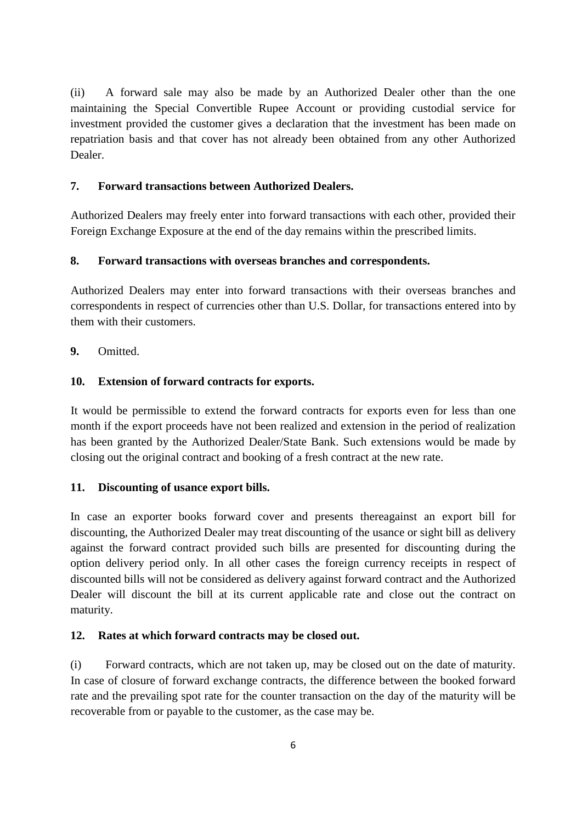(ii) A forward sale may also be made by an Authorized Dealer other than the one maintaining the Special Convertible Rupee Account or providing custodial service for investment provided the customer gives a declaration that the investment has been made on repatriation basis and that cover has not already been obtained from any other Authorized Dealer.

# **7. Forward transactions between Authorized Dealers.**

Authorized Dealers may freely enter into forward transactions with each other, provided their Foreign Exchange Exposure at the end of the day remains within the prescribed limits.

# **8. Forward transactions with overseas branches and correspondents.**

Authorized Dealers may enter into forward transactions with their overseas branches and correspondents in respect of currencies other than U.S. Dollar, for transactions entered into by them with their customers.

**9.** Omitted.

# **10. Extension of forward contracts for exports.**

It would be permissible to extend the forward contracts for exports even for less than one month if the export proceeds have not been realized and extension in the period of realization has been granted by the Authorized Dealer/State Bank. Such extensions would be made by closing out the original contract and booking of a fresh contract at the new rate.

## **11. Discounting of usance export bills.**

In case an exporter books forward cover and presents thereagainst an export bill for discounting, the Authorized Dealer may treat discounting of the usance or sight bill as delivery against the forward contract provided such bills are presented for discounting during the option delivery period only. In all other cases the foreign currency receipts in respect of discounted bills will not be considered as delivery against forward contract and the Authorized Dealer will discount the bill at its current applicable rate and close out the contract on maturity.

## **12. Rates at which forward contracts may be closed out.**

(i) Forward contracts, which are not taken up, may be closed out on the date of maturity. In case of closure of forward exchange contracts, the difference between the booked forward rate and the prevailing spot rate for the counter transaction on the day of the maturity will be recoverable from or payable to the customer, as the case may be.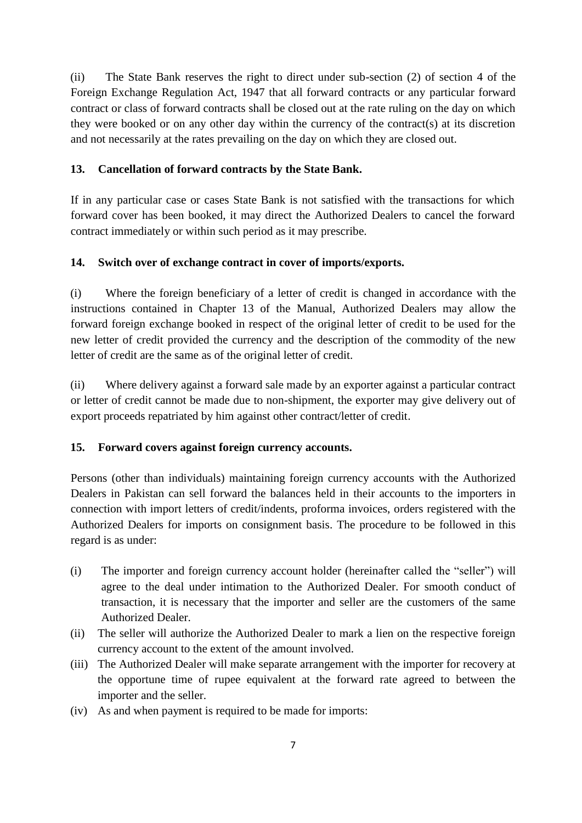(ii) The State Bank reserves the right to direct under sub-section (2) of section 4 of the Foreign Exchange Regulation Act, 1947 that all forward contracts or any particular forward contract or class of forward contracts shall be closed out at the rate ruling on the day on which they were booked or on any other day within the currency of the contract(s) at its discretion and not necessarily at the rates prevailing on the day on which they are closed out.

# **13. Cancellation of forward contracts by the State Bank.**

If in any particular case or cases State Bank is not satisfied with the transactions for which forward cover has been booked, it may direct the Authorized Dealers to cancel the forward contract immediately or within such period as it may prescribe.

# **14. Switch over of exchange contract in cover of imports/exports.**

(i) Where the foreign beneficiary of a letter of credit is changed in accordance with the instructions contained in Chapter 13 of the Manual, Authorized Dealers may allow the forward foreign exchange booked in respect of the original letter of credit to be used for the new letter of credit provided the currency and the description of the commodity of the new letter of credit are the same as of the original letter of credit.

(ii) Where delivery against a forward sale made by an exporter against a particular contract or letter of credit cannot be made due to non-shipment, the exporter may give delivery out of export proceeds repatriated by him against other contract/letter of credit.

## **15. Forward covers against foreign currency accounts.**

Persons (other than individuals) maintaining foreign currency accounts with the Authorized Dealers in Pakistan can sell forward the balances held in their accounts to the importers in connection with import letters of credit/indents, proforma invoices, orders registered with the Authorized Dealers for imports on consignment basis. The procedure to be followed in this regard is as under:

- (i) The importer and foreign currency account holder (hereinafter called the "seller") will agree to the deal under intimation to the Authorized Dealer. For smooth conduct of transaction, it is necessary that the importer and seller are the customers of the same Authorized Dealer.
- (ii) The seller will authorize the Authorized Dealer to mark a lien on the respective foreign currency account to the extent of the amount involved.
- (iii) The Authorized Dealer will make separate arrangement with the importer for recovery at the opportune time of rupee equivalent at the forward rate agreed to between the importer and the seller.
- (iv) As and when payment is required to be made for imports: